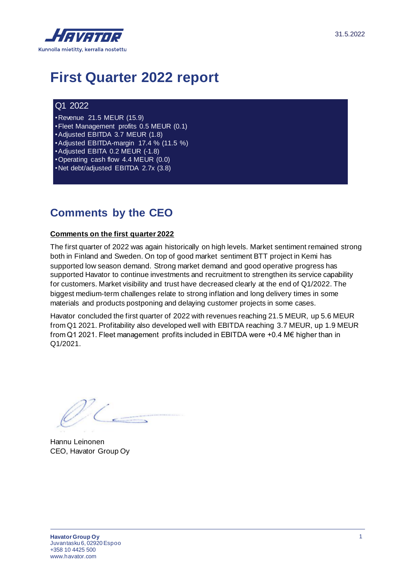

# **First Quarter 2022 report**

#### Q1 2022

•Revenue 21.5 MEUR (15.9) •Fleet Management profits 0.5 MEUR (0.1) •Adjusted EBITDA 3.7 MEUR (1.8) •Adjusted EBITDA-margin 17.4 % (11.5 %) •Adjusted EBITA 0.2 MEUR (-1.8) •Operating cash flow 4.4 MEUR (0.0) •Net debt/adjusted EBITDA 2.7x (3.8)

### **Comments by the CEO**

#### **Comments on the first quarter 2022**

The first quarter of 2022 was again historically on high levels. Market sentiment remained strong both in Finland and Sweden. On top of good market sentiment BTT project in Kemi has supported low season demand. Strong market demand and good operative progress has supported Havator to continue investments and recruitment to strengthen its service capability for customers. Market visibility and trust have decreased clearly at the end of Q1/2022. The biggest medium-term challenges relate to strong inflation and long delivery times in some materials and products postponing and delaying customer projects in some cases.

Havator concluded the first quarter of 2022 with revenues reaching 21.5 MEUR, up 5.6 MEUR from Q1 2021. Profitability also developed well with EBITDA reaching 3.7 MEUR, up 1.9 MEUR from Q1 2021. Fleet management profits included in EBITDA were +0.4 M€ higher than in Q1/2021.

Hannu Leinonen CEO, Havator Group Oy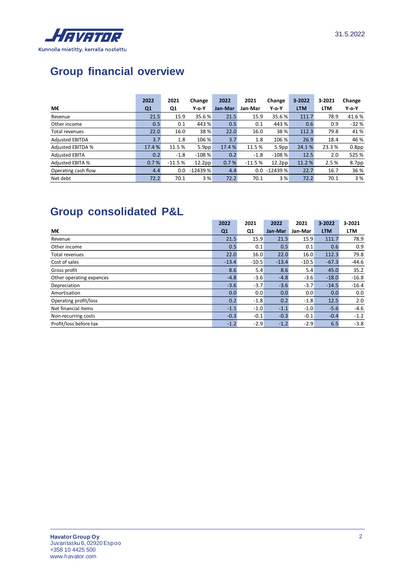

# **Group financial overview**

|                          | 2022           | 2021     | Change            | 2022    | 2021     | Change            | $3 - 2022$ | 3-2021     | Change            |
|--------------------------|----------------|----------|-------------------|---------|----------|-------------------|------------|------------|-------------------|
| М€                       | Q <sub>1</sub> | Q1       | $Y$ -o- $Y$       | Jan-Mar | Jan-Mar  | $Y$ -o-Y          | <b>LTM</b> | <b>LTM</b> | Y-o-Y             |
| Revenue                  | 21.5           | 15.9     | 35.6 %            | 21.5    | 15.9     | 35.6%             | 111.7      | 78.9       | 41.6%             |
| Other income             | 0.5            | 0.1      | 443 %             | 0.5     | 0.1      | 443 %             | 0.6        | 0.9        | $-32%$            |
| Total revenues           | 22.0           | 16.0     | 38 %              | 22.0    | 16.0     | 38 %              | 112.3      | 79.8       | 41 %              |
| <b>Adjusted EBITDA</b>   | 3.7            | 1.8      | 106 %             | 3.7     | 1.8      | 106 %             | 26.9       | 18.4       | 46 %              |
| <b>Adjusted EBITDA %</b> | 17.4 %         | 11.5 %   | 5.9 <sub>pp</sub> | 17.4 %  | 11.5 %   | 5.9 <sub>pp</sub> | 24.1%      | 23.3%      | 0.8 <sub>pp</sub> |
| <b>Adjusted EBITA</b>    | 0.2            | $-1.8$   | $-108%$           | 0.2     | $-1.8$   | $-108%$           | 12.5       | 2.0        | 525 %             |
| <b>Adjusted EBITA %</b>  | 0.7%           | $-11.5%$ | 12.2pp            | 0.7%    | $-11.5%$ | 12.2pp            | 11.2%      | 2.5%       | 8.7pp             |
| Operating cash flow      | 4.4            | 0.0      | $-12439%$         | 4.4     | 0.0      | $-12439%$         | 22.7       | 16.7       | 36 %              |
| Net debt                 | 72.2           | 70.1     | 3%                | 72.2    | 70.1     | 3 %               | 72.2       | 70.1       | 3%                |

## **Group consolidated P&L**

|                          | 2022    | 2021    | 2022    | 2021    | $3 - 2022$ | 3-2021     |
|--------------------------|---------|---------|---------|---------|------------|------------|
| М€                       | Q1      | Q1      | Jan-Mar | Jan-Mar | <b>LTM</b> | <b>LTM</b> |
| Revenue                  | 21.5    | 15.9    | 21.5    | 15.9    | 111.7      | 78.9       |
| Other income             | 0.5     | 0.1     | 0.5     | 0.1     | 0.6        | 0.9        |
| Total revenues           | 22.0    | 16.0    | 22.0    | 16.0    | 112.3      | 79.8       |
| Cost of sales            | $-13.4$ | $-10.5$ | $-13.4$ | $-10.5$ | $-67.3$    | $-44.6$    |
| Gross profit             | 8.6     | 5.4     | 8.6     | 5.4     | 45.0       | 35.2       |
| Other operating expences | $-4.8$  | $-3.6$  | $-4.8$  | $-3.6$  | $-18.0$    | $-16.8$    |
| Depreciation             | $-3.6$  | $-3.7$  | $-3.6$  | $-3.7$  | $-14.5$    | $-16.4$    |
| Amortisation             | 0.0     | 0.0     | 0.0     | 0.0     | 0.0        | 0.0        |
| Operating profit/loss    | 0.2     | $-1.8$  | 0.2     | $-1.8$  | 12.5       | 2.0        |
| Net financial items      | $-1.1$  | $-1.0$  | $-1.1$  | $-1.0$  | $-5.6$     | $-4.6$     |
| Non-recurring costs      | $-0.3$  | $-0.1$  | $-0.3$  | $-0.1$  | $-0.4$     | $-1.2$     |
| Profit/loss before tax   | $-1.2$  | $-2.9$  | $-1.2$  | $-2.9$  | 6.5        | $-3.8$     |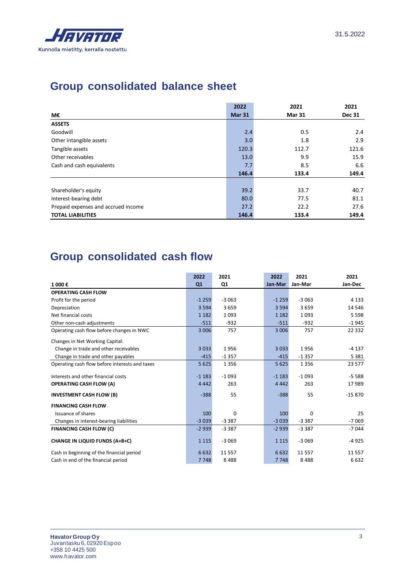

### **Group consolidated balance sheet**

|                                     | 2022          | 2021          | 2021          |
|-------------------------------------|---------------|---------------|---------------|
| М€                                  | <b>Mar 31</b> | <b>Mar 31</b> | <b>Dec 31</b> |
| <b>ASSETS</b>                       |               |               |               |
| Goodwill                            | 2.4           | 0.5           | 2.4           |
| Other intangible assets             | 3.0           | 1.8           | 2.9           |
| Tangible assets                     | 120.3         | 112.7         | 121.6         |
| Other receivables                   | 13.0          | 9.9           | 15.9          |
| Cash and cash equivalents           | 7.7           | 8.5           | 6.6           |
|                                     | 146.4         | 133.4         | 149.4         |
|                                     |               |               |               |
| Shareholder's equity                | 39.2          | 33.7          | 40.7          |
| Interest-bearing debt               | 80.0          | 77.5          | 81.1          |
| Prepaid expenses and accrued income | 27.2          | 22.2          | 27.6          |
| <b>TOTAL LIABILITIES</b>            | 146.4         | 133.4         | 149.4         |

### **Group consolidated cash flow**

|                                                | 2022    | 2021     | 2022    | 2021     | 2021     |
|------------------------------------------------|---------|----------|---------|----------|----------|
| 1 000€                                         | Q1      | Q1       | Jan-Mar | Jan-Mar  | Jan-Dec  |
| <b>OPERATING CASH FLOW</b>                     |         |          |         |          |          |
| Profit for the period                          | $-1259$ | $-3063$  | $-1259$ | $-3063$  | 4 1 3 3  |
| Depreciation                                   | 3 5 9 4 | 3659     | 3 5 9 4 | 3659     | 14 546   |
| Net financial costs                            | 1 1 8 2 | 1093     | 1 1 8 2 | 1093     | 5 5 9 8  |
| Other non-cash adjustments                     | $-511$  | $-932$   | $-511$  | $-932$   | $-1945$  |
| Operating cash flow before changes in NWC      | 3 0 0 6 | 757      | 3 0 0 6 | 757      | 22 3 32  |
| Changes in Net Working Capital:                |         |          |         |          |          |
| Change in trade and other receivables          | 3033    | 1956     | 3 0 3 3 | 1956     | $-4137$  |
| Change in trade and other payables             | $-415$  | $-1357$  | $-415$  | $-1357$  | 5 3 8 1  |
| Operating cash flow before interests and taxes | 5 6 2 5 | 1 3 5 6  | 5 6 2 5 | 1356     | 23 577   |
| Interests and other financial costs            | $-1183$ | $-1093$  | $-1183$ | $-1093$  | $-5.588$ |
| <b>OPERATING CASH FLOW (A)</b>                 | 4 4 4 2 | 263      | 4 4 4 2 | 263      | 17989    |
| <b>INVESTMENT CASH FLOW (B)</b>                | $-388$  | 55       | $-388$  | 55       | $-15870$ |
| <b>FINANCING CASH FLOW</b>                     |         |          |         |          |          |
| <b>Issuance of shares</b>                      | 100     | 0        | 100     | 0        | 25       |
| Changes in interest-bearing liabilities        | $-3039$ | $-3.387$ | $-3039$ | $-3387$  | $-7069$  |
| <b>FINANCING CASH FLOW (C)</b>                 | $-2939$ | $-3.387$ | $-2939$ | $-3387$  | $-7044$  |
| <b>CHANGE IN LIQUID FUNDS (A+B+C)</b>          | 1 1 1 5 | $-3069$  | 1 1 1 5 | $-3069$  | $-4925$  |
| Cash in beginning of the financial period      | 6632    | 11 5 5 7 | 6632    | 11 5 5 7 | 11 5 57  |
| Cash in end of the financial period            | 7748    | 8488     | 7748    | 8488     | 6632     |